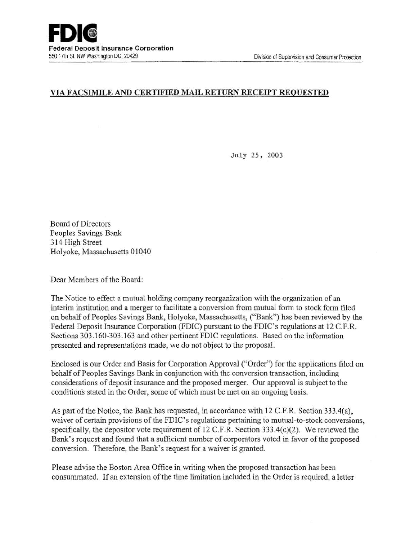### VIA FACSIMILE AND CERTIFIED MAIL RETURN RECEIPT REQUESTED

July 25, 2003

Board of Directors Peoples Savings Bank 314 High Street Holyoke, Massachusetts 01040

Dear Members of the Board:

The Notice to effect a mutual holding company reorganization with the organization of an interim institution and a merger to facilitate a conversion from mutual form to stock form filed on behalf of Peoples Savings Bank, Holyoke, Massachusetts, ("Bank") has been reviewed by the Federal Deposit Insurance Corporation (FDIC) pursuant to the FDIC's regulations at 12 C.F.R. Sections 303.160-303.163 and other pertinent FDIC regulations. Based on the information presented and representations made, we do not object to the proposal.

Enclosed is our Order and Basis for Corporation Approval ("Order") for the applications filed on behalf of Peoples Savings Bank in conjunction with the conversion transaction, including considerations of deposit insurance and the proposed merger. Our approval is subject to the conditions stated in the Order, some of which must be met on an ongoing basis.

As part of the Notice, the Bank has requested, in accordance with 12 C.F.R. Section 333.4(a), waiver of certain provisions of the FDIC's regulations pertaining to mutual-to-stock conversions, specifically, the depositor vote requirement of 12 C.F.R. Section 333.4(c)(2). We reviewed the Bank's request and found that a sufficient number of corporators voted in favor of the proposed conversion. Therefore, the Bank's request for a waiver is granted.

Please advise the Boston Area Office in writing when the proposed transaction has been consummated. If an extension of the time limitation included in the Order is required, a letter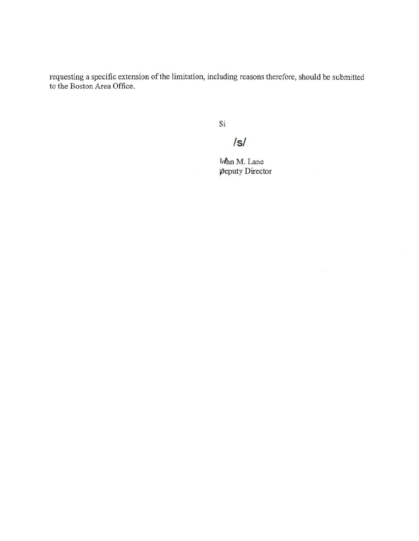requesting a specific extension of the limitation, including reasons therefore, should be submitted to the Boston Area Office.

Si

# Is/

Idhn M. Lane  $\rho$ eputy Director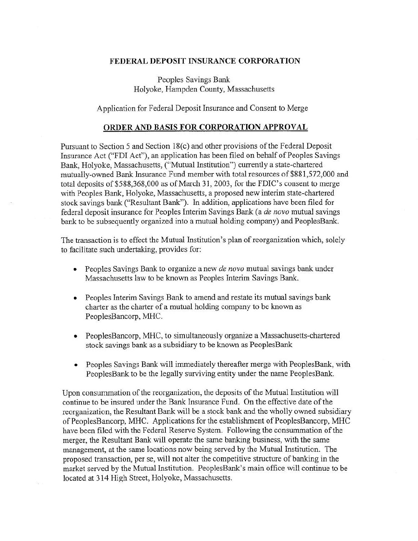#### FEDERAL DEPOSIT INSURANCE CORPORATION

Peoples Savings Bank Holyoke, Hampden County, Massachusetts

Application for Federal Deposit Insurance and Consent to Merge

#### ORDER AND BASIS FOR CORPORATION APPROVAL

Pursuant to Section 5 and Section 18(c) and other provisions of the Federal Deposit Insurance Act ("FDI Act"), an application has been filed on behalf of Peoples Savings Bank, Holyoke, Massachusetts, ("Mutual Institution") currently a state-chartered mutually-owned Bank Insurance Fund member with total resources of \$881 ,572,000 and total deposits of \$588,368,000 as of March 31, 2003, for the FDIC's consent to merge with Peoples Bank, Holyoke, Massachusetts, a proposed new interim state-chartered stock savings bank ("Resultant Bank"). In addition, applications have been filed for federal deposit insurance for Peoples Interim Savings Bank (a *de novo* mutual savings bank to be subsequently organized into a mutual holding company) and PeoplesBank.

The transaction is to effect the Mutual Institution's plan of reorganization which, solely to facilitate such undertaking, provides for:

- Peoples Savings Bank to organize a new *de novo* mutual savings bank under Massachusetts law to be known as Peoples Interim Savings Bank.
- Peoples Interim Savings Bank to amend and restate its mutual savings bank charter as the charter of a mutual holding company to be known as PeoplesBancorp, MHC.
- PeoplesBancorp, MHC, to simultaneously organize a Massachusetts-chartered stock savings bank as a subsidiary to be known as PeoplesBank
- Peoples Savings Bank will immediately thereafter merge with PeoplesBank, with PeoplesBank to be the legally surviving entity under the name PeoplesBank.

Upon consummation of the reorganization, the deposits of the Mutual Institution will continue to be insured under the Bank Insurance Fund. On the effective date of the reorganization, the Resultant Bank will be a stock bank and the wholly owned subsidiary of PeoplesBancorp, MHC. Applications for the establishment of PeoplesBancorp, MHC have been filed with the Federal Reserve System. Following the consummation of the merger, the Resultant Bank will operate the same banking business, with the same management, at the same locations now being served by the Mutual Institution. The proposed transaction, per se, will not alter the competitive structure of banking in the market served by the Mutual Institution. PeoplesBank's main office. will continue to be located at 314 High Street, Holyoke, Massachusetts.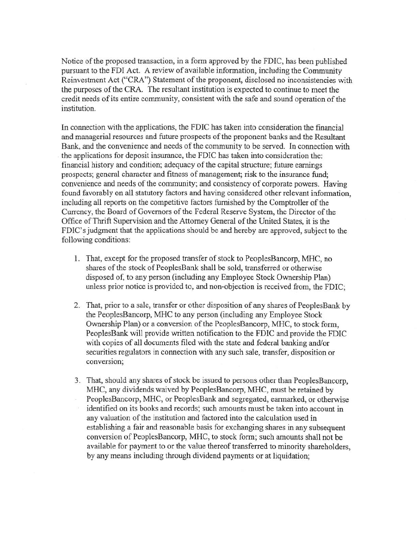Notice of the proposed transaction, in a form approved by the FDIC, has been published pursuant to the FDI Act. A review of available information, including the Community Reinvestment Act ("CRA") Statement of the proponent, disclosed no inconsistencies with the purposes of the CRA. The resultant institution is expected to continue to meet the credit needs of its entire community, consistent with the safe and sound operation of the institution.

In connection with the applications, the FDIC has taken into consideration the financial and managerial resources and future prospects of the proponent banks and the Resultant Bank, and the convenience and needs of the community to be served. In connection with the applications for deposit insurance, the FDIC has taken into consideration the: financial history and condition; adequacy of the capital structure; future earnings prospects; general character and fitness of management; risk to the insurance fund; convenience and needs of the community; and consistency of corporate powers. Having found favorably on all statutory factors and having considered other relevant information, including all reports on the competitive factors furnished by the Comptroller of the Currency, the Board of Governors of the Federal Reserve System, the Director of the Office of Thrift Supervision and the Attorney General of the United States, it is the FDIC's judgment that the applications should be and hereby are approved, subject to the following conditions:

- 1. That, except for the proposed transfer of stock to PeoplesBancorp, MHC, no shares of the stock of PeoplesBank shall be sold, transferred or otherwise disposed of, to any person (including any Employee Stock Ownership Plan) unless prior notice is provided to, and non-objection is received from, the FDIC;
- 2. That, prior to a sale, transfer or other disposition of any shares of PeoplesBank by the PeoplesBancorp, MHC to any person (including any Employee Stock Ownership. Plan) or a conversion of the PeoplesBancorp, MHC, to stock form, PeoplesBank will provide written notification to the FDIC and provide the FDIC with copies of all documents filed with the state and federal banking and/or securities regulators in connection with any such sale, transfer, disposition or conversion;
- 3. That, should any shares of stock be issued to persons other than PeoplesBancorp, MHC, any dividends waived by PeoplesBancorp, MHC, must be retained by PeoplesBancorp, MHC, or PeoplesBank and segregated, earmarked, or otherwise identified on its books and records; such amounts must be taken into account in any valuation of the institution and factored into the calculation used in establishing a fair and reasonable basis for exchanging shares in any subsequent conversion of PeoplesBancorp, MHC, to stock form; such amounts shall not be available for payment to or the value thereof transferred to minority shareholders, by any means including through dividend payments or at liquidation;